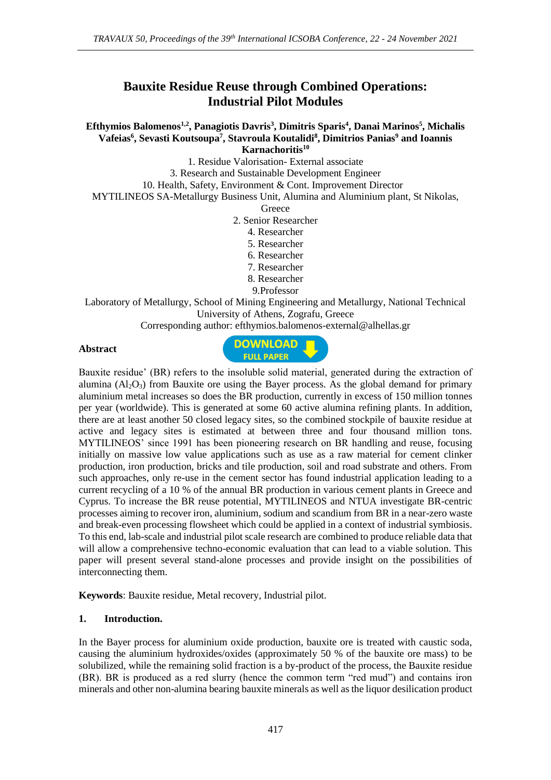# **Bauxite Residue Reuse through Combined Operations: Industrial Pilot Modules**

**Efthymios Balomenos1,2, Panagiotis Davris<sup>3</sup> , Dimitris Sparis<sup>4</sup> , Danai Marinos<sup>5</sup> , Michalis Vafeias<sup>6</sup> , Sevasti Koutsoupa<sup>7</sup> , Stavroula Koutalidi<sup>8</sup> , Dimitrios Panias<sup>9</sup> and Ioannis Karnachoritis<sup>10</sup>**

1. Residue Valorisation- External associate

3. Research and Sustainable Development Engineer

10. Health, Safety, Environment & Cont. Improvement Director

MYTILINEOS SA-Metallurgy Business Unit, Alumina and Aluminium plant, St Nikolas,

**Greece** 

2. Senior Researcher

- 4. Researcher
- 5. Researcher
- 6. Researcher
- 7. Researcher
- 8. Researcher
- 9.Professor

Laboratory of Metallurgy, School of Mining Engineering and Metallurgy, National Technical University of Athens, Zografu, Greece

Corresponding author: efthymios.balomenos-external@alhellas.gr

### **Abstract**



Bauxite residue' (BR) refers to the insoluble solid material, generated during the extraction of alumina  $(A<sub>1</sub>, O<sub>3</sub>)$  from Bauxite ore using the Bayer process. As the global demand for primary aluminium metal increases so does the BR production, currently in excess of 150 million tonnes per year (worldwide). This is generated at some 60 active alumina refining plants. In addition, there are at least another 50 closed legacy sites, so the combined stockpile of bauxite residue at active and legacy sites is estimated at between three and four thousand million tons. MYTILINEOS' since 1991 has been pioneering research on BR handling and reuse, focusing initially on massive low value applications such as use as a raw material for cement clinker production, iron production, bricks and tile production, soil and road substrate and others. From such approaches, only re-use in the cement sector has found industrial application leading to a current recycling of a 10 % of the annual BR production in various cement plants in Greece and Cyprus. To increase the BR reuse potential, MYTILINEOS and NTUA investigate BR-centric processes aiming to recover iron, aluminium, sodium and scandium from BR in a near-zero waste and break-even processing flowsheet which could be applied in a context of industrial symbiosis. To this end, lab-scale and industrial pilot scale research are combined to produce reliable data that will allow a comprehensive techno-economic evaluation that can lead to a viable solution. This paper will present several stand-alone processes and provide insight on the possibilities of interconnecting them.

**Keywords**: Bauxite residue, Metal recovery, Industrial pilot.

### **1. Introduction.**

In the Bayer process for aluminium oxide production, bauxite ore is treated with caustic soda, causing the aluminium hydroxides/oxides (approximately 50 % of the bauxite ore mass) to be solubilized, while the remaining solid fraction is a by-product of the process, the Bauxite residue (BR). BR is produced as a red slurry (hence the common term "red mud") and contains iron minerals and other non-alumina bearing bauxite minerals as well as the liquor desilication product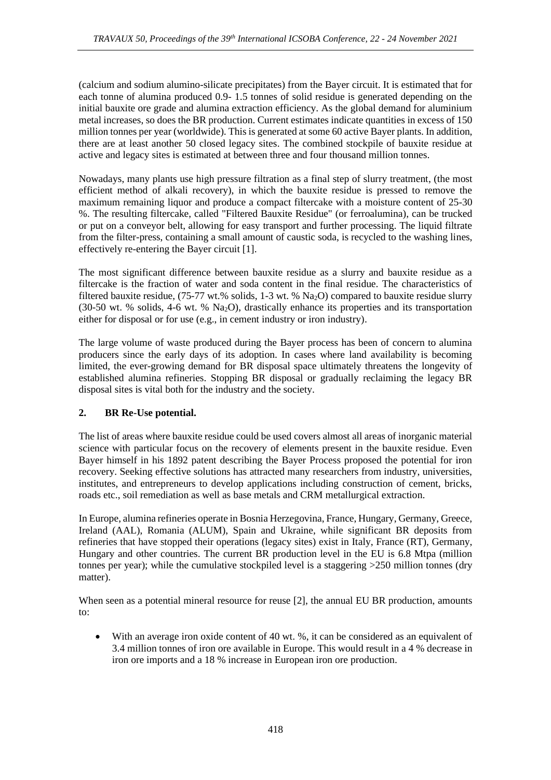(calcium and sodium alumino-silicate precipitates) from the Bayer circuit. It is estimated that for each tonne of alumina produced 0.9- 1.5 tonnes of solid residue is generated depending on the initial bauxite ore grade and alumina extraction efficiency. As the global demand for aluminium metal increases, so does the BR production. Current estimates indicate quantities in excess of 150 million tonnes per year (worldwide). This is generated at some 60 active Bayer plants. In addition, there are at least another 50 closed legacy sites. The combined stockpile of bauxite residue at active and legacy sites is estimated at between three and four thousand million tonnes.

Nowadays, many plants use high pressure filtration as a final step of slurry treatment, (the most efficient method of alkali recovery), in which the bauxite residue is pressed to remove the maximum remaining liquor and produce a compact filtercake with a moisture content of 25-30 %. The resulting filtercake, called "Filtered Bauxite Residue" (or ferroalumina), can be trucked or put on a conveyor belt, allowing for easy transport and further processing. The liquid filtrate from the filter-press, containing a small amount of caustic soda, is recycled to the washing lines, effectively re-entering the Bayer circuit [1].

The most significant difference between bauxite residue as a slurry and bauxite residue as a filtercake is the fraction of water and soda content in the final residue. The characteristics of filtered bauxite residue, (75-77 wt.% solids, 1-3 wt. % Na2O) compared to bauxite residue slurry (30-50 wt. % solids, 4-6 wt. % Na2O), drastically enhance its properties and its transportation either for disposal or for use (e.g., in cement industry or iron industry).

The large volume of waste produced during the Bayer process has been of concern to alumina producers since the early days of its adoption. In cases where land availability is becoming limited, the ever-growing demand for BR disposal space ultimately threatens the longevity of established alumina refineries. Stopping BR disposal or gradually reclaiming the legacy BR disposal sites is vital both for the industry and the society.

# **2. BR Re-Use potential.**

The list of areas where bauxite residue could be used covers almost all areas of inorganic material science with particular focus on the recovery of elements present in the bauxite residue. Even Bayer himself in his 1892 patent describing the Bayer Process proposed the potential for iron recovery. Seeking effective solutions has attracted many researchers from industry, universities, institutes, and entrepreneurs to develop applications including construction of cement, bricks, roads etc., soil remediation as well as base metals and CRM metallurgical extraction.

In Europe, alumina refineries operate in Bosnia Herzegovina, France, Hungary, Germany, Greece, Ireland (AAL), Romania (ALUM), Spain and Ukraine, while significant BR deposits from refineries that have stopped their operations (legacy sites) exist in Italy, France (RT), Germany, Hungary and other countries. The current BR production level in the EU is 6.8 Mtpa (million tonnes per year); while the cumulative stockpiled level is a staggering >250 million tonnes (dry matter).

When seen as a potential mineral resource for reuse [2], the annual EU BR production, amounts to:

• With an average iron oxide content of 40 wt. %, it can be considered as an equivalent of 3.4 million tonnes of iron ore available in Europe. This would result in a 4 % decrease in iron ore imports and a 18 % increase in European iron ore production.